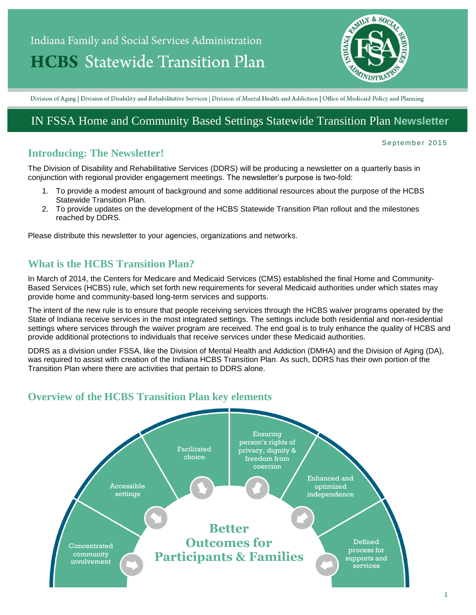# Indiana Family and Social Services Administration **HCBS** Statewide Transition Plan



Division of Aging | Division of Disability and Rehabilitative Services | Division of Mental Health and Addiction | Office of Medicaid Policy and Planning

## IN FSSA Home and Community Based Settings Statewide Transition Plan **Newsletter**

#### **Introducing: The Newsletter!**

September 2015

The Division of Disability and Rehabilitative Services (DDRS) will be producing a newsletter on a quarterly basis in conjunction with regional provider engagement meetings. The newsletter's purpose is two-fold:

- 1. To provide a modest amount of background and some additional resources about the purpose of the HCBS Statewide Transition Plan.
- 2. To provide updates on the development of the HCBS Statewide Transition Plan rollout and the milestones reached by DDRS.

Please distribute this newsletter to your agencies, organizations and networks.

## **What is the HCBS Transition Plan?**

In March of 2014, the Centers for Medicare and Medicaid Services (CMS) established the final Home and Community-Based Services (HCBS) rule, which set forth new requirements for several Medicaid authorities under which states may provide home and community-based long-term services and supports.

The intent of the new rule is to ensure that people receiving services through the HCBS waiver programs operated by the State of Indiana receive services in the most integrated settings. The settings include both residential and non-residential settings where services through the waiver program are received. The end goal is to truly enhance the quality of HCBS and provide additional protections to individuals that receive services under these Medicaid authorities.

DDRS as a division under FSSA, like the Division of Mental Health and Addiction (DMHA) and the Division of Aging (DA), was required to assist with creation of the Indiana HCBS Transition Plan. As such, DDRS has their own portion of the Transition Plan where there are activities that pertain to DDRS alone.

## **Overview of the HCBS Transition Plan key elements**

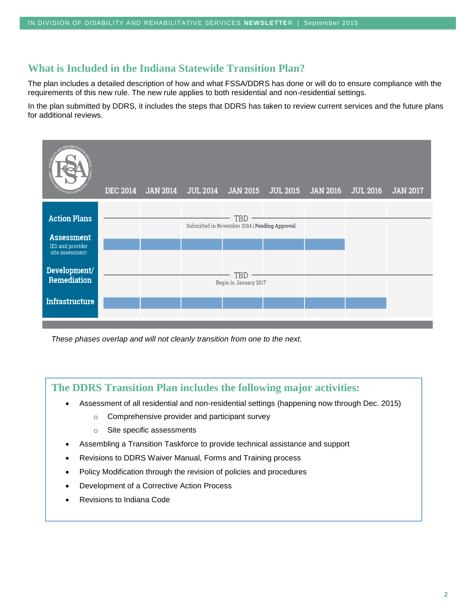#### **What is Included in the Indiana Statewide Transition Plan?**

The plan includes a detailed description of how and what FSSA/DDRS has done or will do to ensure compliance with the requirements of this new rule. The new rule applies to both residential and non-residential settings.

In the plan submitted by DDRS, it includes the steps that DDRS has taken to review current services and the future plans for additional reviews.



*These phases overlap and will not cleanly transition from one to the next.*

#### **The DDRS Transition Plan includes the following major activities:**

- Assessment of all residential and non-residential settings (happening now through Dec. 2015)
	- o Comprehensive provider and participant survey
	- o Site specific assessments
- Assembling a Transition Taskforce to provide technical assistance and support
- Revisions to DDRS Waiver Manual, Forms and Training process
- Policy Modification through the revision of policies and procedures
- Development of a Corrective Action Process
- Revisions to Indiana Code